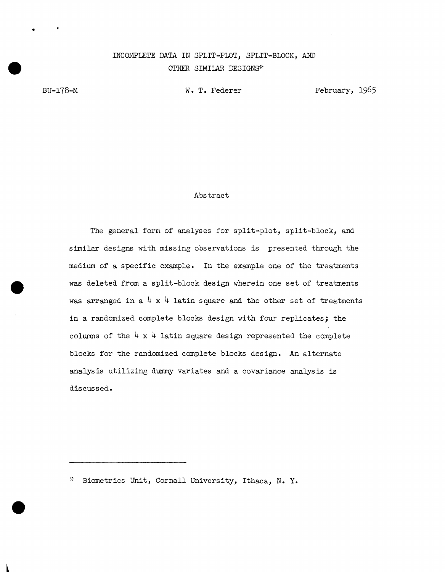## INCOMPLETE DATA IN SPLIT-PLOT, SPLIT-BLOCK, AND OTHER SIMILAR DESIGNS\*

BU-178-M

•

W. T. Federer

February, 1965

## Abstract

The general form of analyses for split-plot, split-block, and similar designs with missing observations is presented through the medium of a specific example. In the example one of the treatments was deleted from a split-block design wherein one set of treatments was arranged in a  $4 \times 4$  latin square and the other set of treatments in a randomized complete blocks design with four replicates; the columns of the  $4 \times 4$  latin square design represented the complete blocks for the randomized complete blocks design. An alternate analysis utilizing dummy variates and a covariance analysis is discussed.

Biometrics Unit, Cornall University, Ithaca, N. Y.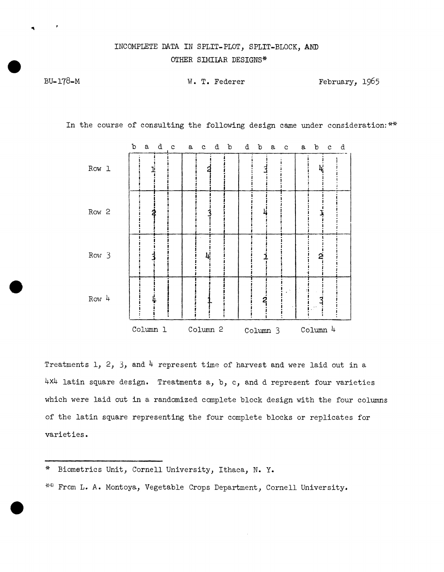## INCOMPLETE DATA IN SPLIT-PLOT, SPLIT-BLOCK, AND OTHER SIMILAR DESIGNS\*

BU-178-M

W. T. Federer February, 1965

In the course of consulting the following design came under consideration: \*\*



Treatments 1, 2, 3, and  $4$  represent time of harvest and were laid out in a 4x4 latin square design. Treatments a, b, c, and d represent four varieties which were laid out in a randomized complete block design with the four columns of the latin square representing the four complete blocks or replicates for varieties.

<sup>\*</sup> Biometrics Unit, Cornell University, Ithaca, N. Y.

<sup>\*\*</sup> From L. A. Montoya, Vegetable Crops Department, Cornell University.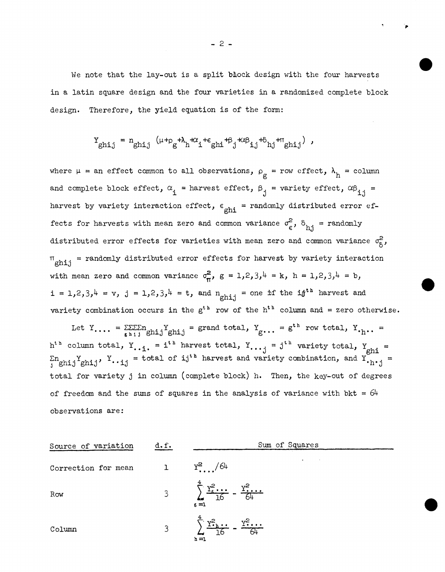We note that the lay-out is a split block design with the four harvests in a latin square design and the four varieties in a randomized complete block design. Therefore, the yield equation is of the form:

$$
Y_{\text{ghi,j}} = n_{\text{ghi,j}} \left( \mu +_{\rho} + \lambda_{h} + \alpha_{i} + \epsilon_{\text{ghi}} + \beta_{j} + \alpha \beta_{i,j} + \delta_{hj} + \pi_{\text{chi}} \right) \; ,
$$

where  $\mu$  = an effect common to all observations,  $\rho_g$  = row effect,  $\lambda_h$  = column and complete block effect,  $\alpha_i$  = harvest effect,  $\beta_i$  = variety effect,  $\alpha\beta_{i,i}$  = harvest by variety interaction effect,  $\epsilon_{\text{ghi}}$  = randomly distributed error effects for harvests with mean zero and common variance  $\sigma_{\epsilon}^2$ ,  $\delta_{h,i}$  = randomly distributed error effects for varieties with mean zero and common variance  $\sigma_{\beta}^2$ ,  $T_{\text{ghij}}$  = randomly distributed error effects for harvest by variety interaction with mean zero and common variance  $\sigma_{\overline{n}}^2$ ,  $g = 1,2,3,4 = k$ ,  $h = 1,2,3,4 = b$ ,  $i = 1,2,3,4 = v$ ,  $j = 1,2,3,4 = t$ , and  $n$ <sub>ghij</sub> = one if the i $j<sup>th</sup>$  harvest and variety combination occurs in the  $g^{th}$  row of the  $h^{th}$  column and = zero otherwise.

Let  $Y_{\cdot\cdot\cdot} = \sum_{g \; h \; i,j} \sum_{g \; h \; i,j} Y_{g \; h \; i,j} =$  grand total,  $Y_{g \cdot\cdot\cdot} = g^{th}$  row total,  $Y_{\cdot h \cdot\cdot} =$  $h^{t h}$  column total,  $Y_{. \cdot i.}$  = i<sup>th</sup> harvest total,  $Y_{. \cdot \cdot j}$  = j<sup>th</sup> variety total,  $Y_{ghi}$  =  $\sum n$   $Y_{\text{child}}$   $Y_{\text{...}}$   $Y_{\text{...}}$  = total of ij<sup>th</sup> harvest and variety combination, and  $Y_{\text{...}}$  = total for variety j in column (complete block) h. Then, the key-out of degrees of freedom and the sums of squares in the analysis of variance with bkt =  $64$ observations are:

| Source of variation | d.f.           | Sum of Squares                                                                                                |
|---------------------|----------------|---------------------------------------------------------------------------------------------------------------|
| Correction for mean |                | ٠<br>$Y^2$ /64                                                                                                |
| Row                 | $3^{\circ}$    | $\sum_{n=1}^{4} \frac{Y_n^2 \dots}{16}$<br>$\frac{y^2}{64}$<br>$g = 1$                                        |
| Column              | 3 <sup>7</sup> | $\underbrace{\mathbf{Y}_{\cdot h}^2 \cdots}_{16} - \underline{\mathbf{Y}_{\cdot h}^2 \cdots}_{64}$<br>$h = 1$ |

 $- 2 -$ 

. ,.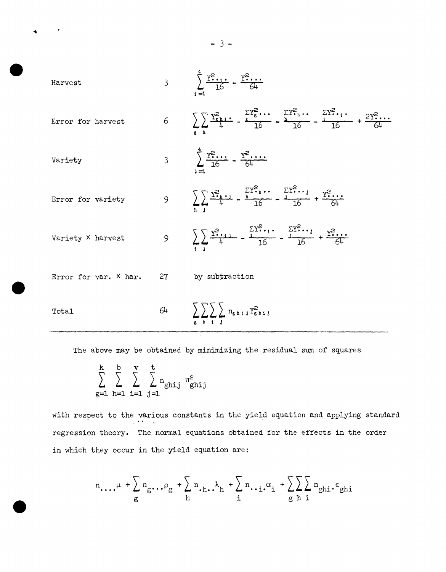Harvest

\n
$$
\frac{1}{3} \sum_{i=1}^{n} \frac{Y_{i+1}^{2} - Y_{i+1}^{2} - Y_{i+1}^{2} - Y_{i+1}^{2} - Y_{i+1}^{2} - Y_{i+1}^{2} - Y_{i+1}^{2} - Y_{i+1}^{2} - Y_{i+1}^{2} - Y_{i+1}^{2} - Y_{i+1}^{2} - Y_{i+1}^{2} - Y_{i+1}^{2} - Y_{i+1}^{2} - Y_{i+1}^{2} - Y_{i+1}^{2} - Y_{i+1}^{2} - Y_{i+1}^{2} - Y_{i+1}^{2} - Y_{i+1}^{2} - Y_{i+1}^{2} - Y_{i+1}^{2} - Y_{i+1}^{2} - Y_{i+1}^{2} - Y_{i+1}^{2} - Y_{i+1}^{2} - Y_{i+1}^{2} - Y_{i+1}^{2} - Y_{i+1}^{2} - Y_{i+1}^{2} - Y_{i+1}^{2} - Y_{i+1}^{2} - Y_{i+1}^{2} - Y_{i+1}^{2} - Y_{i+1}^{2} - Y_{i+1}^{2} - Y_{i+1}^{2} - Y_{i+1}^{2} - Y_{i+1}^{2} - Y_{i+1}^{2} - Y_{i+1}^{2} - Y_{i+1}^{2} - Y_{i+1}^{2} - Y_{i+1}^{2} - Y_{i+1}^{2} - Y_{i+1}^{2} - Y_{i+1}^{2} - Y_{i+1}^{2} - Y_{i+1}^{2} - Y_{i+1}^{2} - Y_{i+1}^{2} - Y_{i+1}^{2} - Y_{i+1}^{2} - Y_{i+1}^{2} - Y_{i+1}^{2} - Y_{i+1}^{2} - Y_{i+1}^{2} - Y_{i+1}^{2} - Y_{i+1}^{2} - Y_{i+1}^{2} - Y_{i+1}^{2} - Y_{i+1}^{2} - Y_{i+1}^{2} - Y_{i+1}^{2} - Y_{i+1}^{2} - Y_{i+1}^{2} - Y_{i+1}^{2} - Y_{i+1}^{2} - Y_{i+1}^{2} - Y_{i+1}^{2} - Y_{i+1}^{2} - Y_{i+1}^{2} - Y_{i+1}^{2} - Y_{
$$

The above may be obtained by minimizing the residual sum of squares

k b v t  $\sum \sum \sum \alpha_{\text{ghi,j}}$ g=1 h=1 i=1  $j=1$  $\mathfrak{n}^2$ ghij

with respect to the various constants in the yield equation and applying standard regression theory. The normal equations obtained for the effects in the order in which they occur in the yield equation are:

$$
n_{\ldots,\mu} + \sum_{g} n_{g\ldots} \cdot \rho_{g} + \sum_{h} n_{\ldots} \cdot h_{h} + \sum_{i} n_{\ldots} \cdot \alpha_{i} + \sum_{g} \sum_{h} n_{ghi} \cdot \epsilon_{ghi}
$$

 $- 3 -$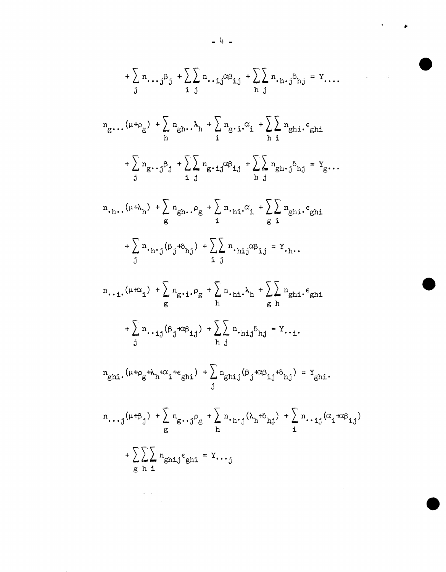$$
+\sum_{j} n_{\cdot \cdot j} \beta_{j} + \sum_{i} \sum_{j} n_{\cdot \cdot i,j} \alpha_{i,j} + \sum_{j} \sum_{j} n_{\cdot j} \beta_{i,j} = Y_{\cdot \cdot \cdot \cdot}
$$
\n
$$
n_{g} \cdot \ldots (u + \rho_{g}) + \sum_{j} n_{gh} \cdot \lambda_{h} + \sum_{i} n_{g} \cdot i \cdot \alpha_{i} + \sum_{j} \sum_{gh} n_{gh} \cdot \epsilon_{ghi}
$$
\n
$$
+\sum_{j} n_{g} \cdot j \beta_{j} + \sum_{i} \sum_{j} n_{g} \cdot i \cdot j \beta_{ij} + \sum_{j} \sum_{h} n_{gh} \cdot j \beta_{hj} = Y_{g} \cdot \ldots
$$
\n
$$
n \cdot n \cdot \left(\mu + \lambda_{h}\right) + \sum_{g} n_{gh} \cdot \beta_{g} + \sum_{i} n_{\cdot h} \cdot \alpha_{i} + \sum_{g} \sum_{j} n_{gh} \cdot \epsilon_{ghi}
$$
\n
$$
+\sum_{j} n \cdot n \cdot j (\beta_{j} + \delta_{hj}) + \sum_{i} \sum_{j} n \cdot n_{i,j} \alpha_{i,j} = Y_{\cdot h} \cdot \ldots
$$
\n
$$
n \cdot \cdot i \cdot \left(\mu + \alpha_{i}\right) + \sum_{g} n_{g} \cdot i \cdot \beta_{g} + \sum_{h} n \cdot n_{i} \cdot \lambda_{h} + \sum_{g} \sum_{h} n_{gh} \cdot \epsilon_{ghi}
$$
\n
$$
+ \sum_{j} n \cdot i \cdot j (\beta_{j} + \alpha \beta_{1,j}) + \sum_{j} \sum_{j} n \cdot n_{i,j} \delta_{hj} = Y_{\cdot \cdot i} \cdot \ldots
$$
\n
$$
n_{ghi} \cdot \left(\mu + \beta_{g} + \lambda_{h} + \alpha_{i} + \epsilon_{ghi}\right) + \sum_{j} n_{ghj} (\beta_{j} + \alpha \beta_{1,j} + \delta_{hj}) = Y_{ghi} \cdot \ldots
$$
\n
$$
n \cdot \cdot \cdot j (\mu + \beta_{j}) + \sum_{g} n_{g} \cdot j \beta_{g} + \sum_{h} n \cdot i \cdot j (\lambda_{h} + \delta_{hj}) + \sum_{j} n \cdot \cdot i \cdot j (\alpha_{j} + \alpha
$$

 $- 4 -$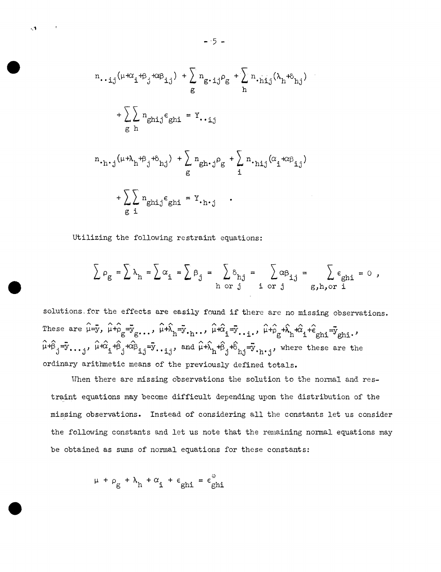$$
n \t\t\cdot i j(\mu + \alpha_i + \beta_j + \alpha \beta_{i,j}) + \sum_{g} n_{g \cdot i j} \rho_g + \sum_{h} n_{\cdot h i j} (\lambda_h + \delta_{h j})
$$
  
+ 
$$
\sum_{g} n_{g h i j} \epsilon_{g h i} = Y \t\cdot i j
$$
  
  

$$
n \t\cdot h \cdot j(\mu + \lambda_h + \beta_j + \delta_{h j}) + \sum_{g} n_{g h \cdot j} \rho_g + \sum_{i} n_{\cdot h i j} (\alpha_i + \alpha \beta_{i,j})
$$
  
+ 
$$
\sum_{g} n_{g h i j} \epsilon_{g h i} = Y \t\cdot h \cdot j
$$

Utilizing the following restraint equations:

 $\ddot{\bullet}$ 

$$
\sum \rho_{g} = \sum \lambda_{h} = \sum \alpha_{i} = \sum \beta_{j} = \sum \delta_{hj} = \sum \alpha \beta_{i,j} = \sum \alpha \beta_{i,j} = \sum \epsilon_{ghi} = 0,
$$

solutions. for the effects are easily found if there are no missing observations.  $\Gamma$ hese are  $\hat{\mu} = \bar{y}$ ,  $\hat{\mu} + \hat{\rho}_g = \bar{y}_g$ ...,  $\hat{\mu} + \hat{\lambda}_h = \bar{y}$ ...,  $\hat{\mu} + \hat{\alpha}_1 = \bar{y}$ ...,  $\hat{\mu} + \hat{\rho}_g + \hat{\lambda}_h + \hat{\alpha}_1 + \hat{\epsilon}_{gh1} = \bar{y}_{gh1}$ . **AA- AA A A - AA A A** -  $\mu+\beta_j=y_{\bullet\bullet\bullet,j'}$ ,  $\mu+\alpha_j+\beta_j+\alpha\beta_{1,j}=y_{\bullet\bullet\bullet,j'}$  and  $\mu+\lambda_h+\beta_j+\delta_{h,j}=\bar{y}_{\bullet h+j}$ , where these are the ordinary arithmetic means of the previously defined totals.

When there are missing observations the solution to the normal and restraint equations may become difficult depending upon the distribution of the missing observations. Instead of considering all the constants let us consider the following constants and let us note that the remaining normal equations may be obtained as sums of normal equations for these constants:

$$
\mu + \rho_g + \lambda_h + \alpha_i + \epsilon_{ghi} = \epsilon_{ghi}^*
$$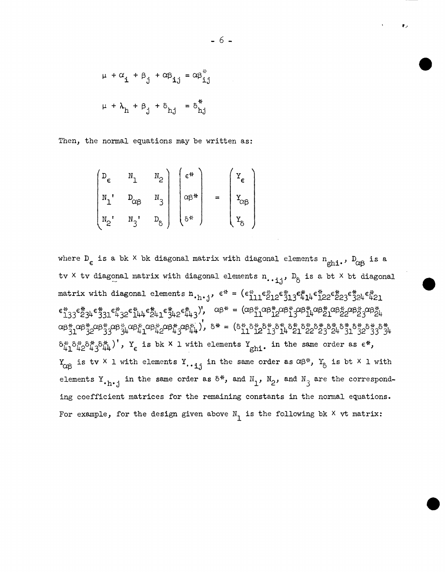$$
\mu + \alpha_{\mathbf{i}} + \beta_{\mathbf{j}} + \alpha \beta_{\mathbf{i} \mathbf{j}} = \alpha \beta_{\mathbf{i} \mathbf{j}}^*
$$
  

$$
\mu + \lambda_{\mathbf{h}} + \beta_{\mathbf{j}} + \delta_{\mathbf{h} \mathbf{j}} = \delta_{\mathbf{h} \mathbf{j}}^*
$$

Then, the normal equations may be written as:

$$
\begin{pmatrix}\nD_{\epsilon} & N_1 & N_2 \\
N_1' & D_{\alpha\beta} & N_3 \\
N_2' & N_3' & D_{\delta}\n\end{pmatrix}\n\begin{pmatrix}\n\epsilon^{ik} \\
\alpha\beta^{ik} \\
\delta^{k}\n\end{pmatrix} =\n\begin{pmatrix}\nY_{\epsilon} \\
Y_{\alpha\beta} \\
Y_{\delta}\n\end{pmatrix}
$$

where  $D_{\epsilon}$  is a bk  $\times$  bk diagonal matrix with diagonal elements  $n_{\text{chi}}$ ,  $D_{\alpha\beta}$  is a tv × tv diagonal matrix with diagonal elements n... j,  $D_8$  is a bt × bt diagonal matrix with diagonal elements  $h_{\cdot h\cdot j}$ ,  $\epsilon^* = (\epsilon_{111}^* \epsilon_{212}^* \epsilon_{313}^* \epsilon_{414}^* \epsilon_{122}^* \epsilon_{23}^* \epsilon_{324}^* \epsilon_{421}^*$  $\epsilon_{133}^* \epsilon_{234}^* \epsilon_{331}^* \epsilon_{432}^* \epsilon_{144}^* \epsilon_{241}^* \epsilon_{342}^* \epsilon_{443}^*$ ,  $\alpha_{\beta}^* = (\alpha_{\beta}^*_{11} \alpha_{\beta}^*_{12} \alpha_{\beta}^*_{13} \alpha_{\beta}^*_{14} \alpha_{\beta}^*_{21} \alpha_{\beta}^*_{22} \alpha_{\beta}^*_{23} \alpha_{\beta}^*_{24}$  $\alpha\beta_{31}^{*}\alpha\beta_{32}^{*}\alpha\beta_{33}^{*}\alpha\beta_{44}^{*}\alpha\beta_{41}^{*}\alpha\beta_{42}^{*}\alpha\beta_{44}^{*}\alpha\beta_{44}^{*}, \quad \delta^{*}=\left(\delta_{11}^{*}\delta_{12}^{*}\delta_{13}^{*}\delta_{14}^{*}\delta_{21}^{*}\delta_{22}^{*}\delta_{23}^{*}\delta_{24}^{*}\delta_{31}^{*}\delta_{32}^{*}\delta_{33}^{*}\delta_{44}^{*}\right)$  $\delta_{\mu_1}^* \delta_{\mu_2}^* \delta_{\mu_3}^* \delta_{\mu_4}^*$ ,  $Y_{\epsilon}$  is bk  $X$  l with elements  $Y_{\text{ghi}}$ . in the same order as  $\epsilon^*$ ,  $Y_{\alpha\beta}$  is tv  $\times$  1 with elements  $Y_{\cdot \cdot i,j}$  in the same order as  $\alpha\beta^*$ ,  $Y_{\delta}$  is bt  $\times$  1 with elements Y. h.j in the same order as  $\delta^*$ , and N<sub>1</sub>, N<sub>2</sub>, and N<sub>3</sub> are the corresponding coefficient matrices for the remaining constants in the normal equations. For example, for the design given above  $N_1$  is the following bk  $\times$  vt matrix: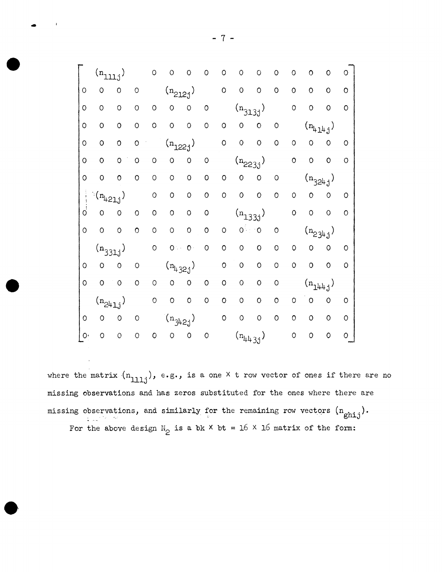where the matrix  $(n_{111j})$ , e.g., is a one X t row vector of ones if there are no missing observations and has zeros substituted for the ones where there are missing observations, and similarly for the remaining row vectors  $(n_{\text{ghi},j})$ . For the above design  $N_{\odot}$  is a bk  $\times$  bt = 16  $\times$  16 matrix of the form:

..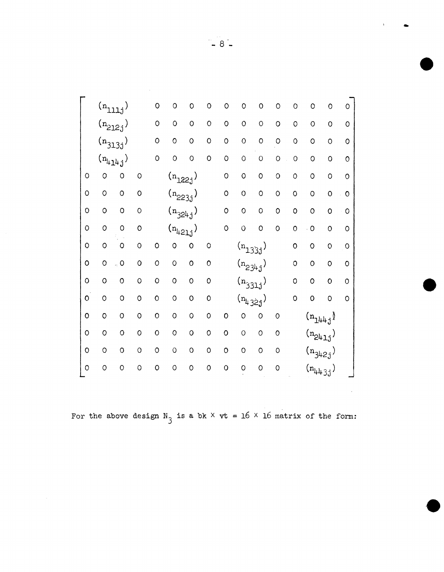|              |         | $\bf (n_{111j})$ |              | $\circ$     | O              | $\circ$      | O           | O              | O               | $\circ$      | $\circ$        | O            | $\circ$                                                                                         | $\circ$          | $\circ$     |  |
|--------------|---------|------------------|--------------|-------------|----------------|--------------|-------------|----------------|-----------------|--------------|----------------|--------------|-------------------------------------------------------------------------------------------------|------------------|-------------|--|
|              |         | $(n_{212j})$     |              | $\mathsf O$ | $\circ$        | $\circ$      | $\circ$     | $\circ$        | $\circ$         | $\circ$      | $\circ$        | O            | $\circ$                                                                                         | $\circ$          | $\circ$     |  |
|              |         | $(n_{313j})$     |              | $\circ$     | $\circ$        | $\circ$      | $\circ$     | $\circ$        | $\mathbf 0$     | $\circ$      | $\circ$        | $\mathsf{o}$ | $\circ$                                                                                         | $\overline{O}$   | $\circ$     |  |
|              |         | $(n_{414j})$     |              | $\circ$     | $\circ$        | $\circ$      | O           | $\circ$        | $\circ$         | $\circ$      | $\circ$        | $\circ$      | $\circ$                                                                                         | $\circ$          | $\circ$     |  |
| $\circ$      | $\circ$ | O                | O            |             |                | $(n_{122j})$ |             | $\circ$        | O               | $\circ$      | $\circ$        | $\circ$      | $\circ$                                                                                         | $\circ$          | $\circ$     |  |
| $\circ$      | $\circ$ | $\circ$          | $\circ$      |             |                | $(n_{223j})$ |             | $\circ$        | $\circ$         | $\circ$      | $\circ$        | $\circ$      | $\circ$                                                                                         | $\overline{O}$   | $\circ$     |  |
| $\circ$      | $\circ$ | $\circ$          | $\circ$      |             |                | $(n_{324j})$ |             | $\circ$        | $\circ$         | $\circ$      | $\circ$        | 0            | $\circ$                                                                                         | $\circ$          | $\circ$     |  |
| $\circ$      | O       | $\circ$          | $\circ$      |             |                | $(n_{421j})$ |             | $\circ$        | $\overline{O}$  | $\circ$      | $\overline{O}$ | $\mathsf{o}$ | $\overline{\phantom{a}}$                                                                        | $\mathsf{\circ}$ | $\circ$     |  |
| $\circ$      | $\circ$ | $\circ$          | $\circ$      | $\circ$     | O              | $\circ$      | $\circ$     |                |                 | $(n_{133j})$ |                | $\mathsf{o}$ | $\circ$                                                                                         | $\circ$          | $\circ$     |  |
| $\circ$      | O       | $\circ$          | $\mathsf{o}$ | $\circ$     | $\circ$        | $\circ$      | $\circ$     |                |                 | $(n_{234j})$ |                | $\mathsf{o}$ | $\circ$                                                                                         | $\circ$          | $\mathsf O$ |  |
| $\circ$      | O       | $\circ$          | O            | $\circ$     | $\circ$        | $\circ$      | $\mathsf O$ |                |                 | $(n_{331j})$ |                | $\circ$      | $\circ$                                                                                         | $\mathbf{o}$     | $\circ$     |  |
| $\mathbf{o}$ | $\circ$ | $\circ$          | $\circ$      | $\circ$     | $\overline{O}$ | $\circ$      | $\circ$     |                | $(n_{l_i}$ 32j) |              |                | $\circ$      | $\circ$                                                                                         | 0                | $\circ$     |  |
| $\mathbf 0$  | $\circ$ | $\overline{O}$   | $\circ$      | $\circ$     | $\overline{O}$ | $\circ$      | $\circ$     | $\mathbf 0$    | O               | $\circ$      | $\circ$        |              | $\left( \mathbf{n}_{\mathbf{1}^{\mathbf{l}}\mathbf{1}^{\mathbf{l}}\mathbf{+}\mathbf{j}}\right)$ |                  |             |  |
| $\circ$      | $\circ$ | $\circ$          | $\circ$      | $\circ$     | $\circ$        | $\circ$      | $\circ$     | $\circ$        | O               | $\circ$      | $\circ$        |              | $(n_{241j})$                                                                                    |                  |             |  |
| $\circ$      | O       | $\circ$          | $\circ$      | $\circ$     | $\circ$        | $\circ$      | 0           | $\circ$        | $\circ$         | $\circ$      | $\circ$        |              | $(n_{342j})$                                                                                    |                  |             |  |
| $\circ$      | $\circ$ | $\overline{O}$   | O            | $\circ$     | O              | $\circ$      | $\circ$     | $\overline{O}$ | $\circ$         | $\mathbf 0$  | O              |              | $(n_{443j})$                                                                                    |                  |             |  |

For the above design  $N_3$  is a bk  $\times$  vt = 16  $\times$  16 matrix of the form: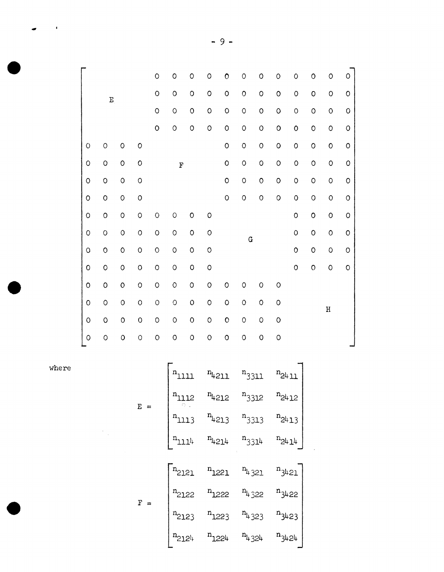|            |              |             |             | $\circ$ | $\circ$ | O       | O           | 0           | $\circ$ | O           | $\circ$ | $\circ$     | $\circ$ | O           | O           |
|------------|--------------|-------------|-------------|---------|---------|---------|-------------|-------------|---------|-------------|---------|-------------|---------|-------------|-------------|
|            | $\mathbf{E}$ |             |             | $\circ$ | $\circ$ | $\circ$ | $\circ$     | $\circ$     | $\circ$ | $\circ$     | $\circ$ | $\circ$     | $\circ$ | O           | $\circ$     |
|            |              |             |             | $\circ$ | $\circ$ | $\circ$ | $\mathsf O$ | O           | $\circ$ | $\circ$     | O       | $\circ$     | O       | O           | $\mathsf O$ |
|            |              |             |             | $\circ$ | $\circ$ | O       | O           | $\circ$     | $\circ$ | $\circ$     | O       | $\mathbf 0$ | $\circ$ | O           | $\hbox{O}$  |
| $\circ$    | $\circ$      | $\circ$     | O           |         |         |         |             | $\circ$     | $\circ$ | $\circ$     | O       | $\circ$     | $\circ$ | $\mathsf O$ | $\mathsf O$ |
| $\circ$    | $\circ$      | $\circ$     | O           |         | F       |         |             | $\circ$     | $\circ$ | $\circ$     | O       | $\circ$     | $\circ$ | O           | $\mathsf O$ |
| $\circ$    | $\circ$      | $\circ$     | O           |         |         |         |             | $\circ$     | $\circ$ | $\circ$     | O       | $\circ$     | $\circ$ | O           | $\circ$     |
| $\circ$    | $\circ$      | $\circ$     | O           |         |         |         |             | $\circ$     | $\circ$ | $\circ$     | O       | $\circ$     | $\circ$ | $\mathsf O$ | $\circ$     |
| $\hbox{O}$ | $\circ$      | $\circ$     | O           | $\circ$ | $\circ$ | 0       | $\circ$     |             |         |             |         | $\circ$     | $\circ$ | O           | $\mathsf O$ |
| $\circ$    | $\circ$      | $\circ$     | $\circ$     | O       | $\circ$ | 0       | $\circ$     |             | G       |             |         | $\circ$     | $\circ$ | O           | $\mathsf O$ |
| $\circ$    | $\circ$      | $\circ$     | O           | $\circ$ | $\circ$ | $\circ$ | $\circ$     |             |         |             |         | $\circ$     | $\circ$ | O           | $\circ$     |
| $\circ$    | $\circ$      | $\circ$     | $\circ$     | $\circ$ | $\circ$ | O       | $\circ$     |             |         |             |         | $\circ$     | $\circ$ | $\mathsf O$ | $\mathsf O$ |
| $\circ$    | O            | $\mathsf O$ | $\circ$     | $\circ$ | $\circ$ | $\circ$ | $\mathsf O$ | $\circ$     | $\circ$ | $\circ$     | $\circ$ |             |         |             |             |
| O          | $\circ$      | $\circ$     | $\circ$     | O       | O       | 0       | $\circ$     | O           | $\circ$ | O           | O       |             |         | $\rm H$     |             |
| $\circ$    | $\circ$      | $\circ$     | $\mathsf O$ | O       | $\circ$ | $\circ$ | $\circ$     | $\mathbf O$ | $\circ$ | $\circ$     | O       |             |         |             |             |
| $\circ$    | O            | $\circ$     | $\circ$     | $\circ$ | O       | O       | $\circ$     | $\circ$     | $\circ$ | $\mathbf O$ | $\circ$ |             |         |             |             |

where

 $\label{eq:2.1} \frac{1}{\sqrt{2}}\int_{\mathbb{R}^3}\frac{1}{\sqrt{2}}\left(\frac{1}{\sqrt{2}}\right)^2\frac{1}{\sqrt{2}}\left(\frac{1}{\sqrt{2}}\right)^2\frac{1}{\sqrt{2}}\left(\frac{1}{\sqrt{2}}\right)^2.$ 

 $\bullet$ 

 $\bullet$ 

| $E =$         | $n_{1111}$          |                       | $n_{4211}$ $n_{3311}$            | $n_{24\,11}$ |  |
|---------------|---------------------|-----------------------|----------------------------------|--------------|--|
|               | $n_{1112}$          | $n_{4212}$            | $n_{3312}$                       | $n_{2412}$   |  |
|               | $\mathrm{n}_{1113}$ | $n_{4213}$            | $n_{3313}$                       | $n_{2413}$   |  |
|               | $n_{111}$           |                       | $n_{4214}$ $n_{3314}$ $n_{2414}$ |              |  |
|               |                     |                       |                                  |              |  |
|               | $n_{2121}$          |                       | $n_{1221}$ $n_{4321}$            | $n_{3421}$   |  |
| F<br>$\equiv$ | $n_{2122}$          | $n_{1222}$ $n_{4322}$ |                                  | $n_{3422}$   |  |
|               | $n_{2123}$          |                       | $n_{1223}$ $n_{4323}$            | $n_{3423}$   |  |
|               | $n_{212}$           | $n_{1224}$ $n_{4324}$ |                                  | $n_{3424}$   |  |

- 9 -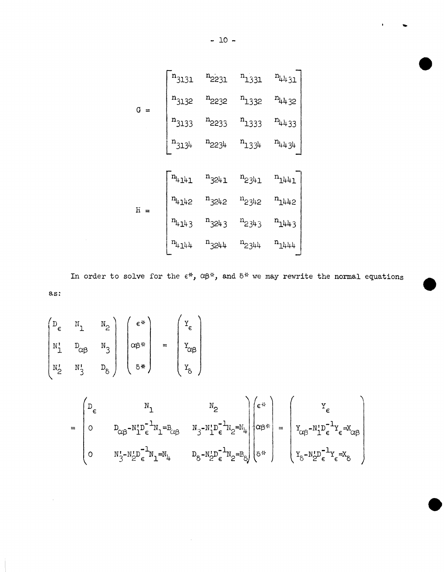

In order to solve for the  $\epsilon^*$ ,  $\alpha\beta^*$ , and  $\delta^*$  we may rewrite the normal equations as:

$$
\begin{pmatrix}\nD_{\epsilon} & N_1 & N_2 \\
N_1^1 & D_{\alpha\beta} & N_3 \\
N_2^1 & N_3^1 & D_{\delta}\n\end{pmatrix}\n\begin{pmatrix}\n\epsilon^* \\
\alpha\beta^* \\
\delta^*\n\end{pmatrix} = \begin{pmatrix}\nY_{\epsilon} \\
Y_{\alpha\beta} \\
\gamma_{\alpha\beta} \\
\gamma_{\delta}\n\end{pmatrix}
$$

$$
= \begin{pmatrix} D_{\epsilon} & N_{1} & N_{2} \ 0 & D_{\alpha\beta} - N_{1}^{*}D_{\epsilon}^{-1}N_{1} = B_{\alpha\beta} & N_{3} - N_{1}^{*}D_{\epsilon}^{-1}N_{2} = N_{\mu} \ 0 & N_{3}^{*} - N_{2}^{*}D_{\epsilon}^{-1}N_{2} = B_{\alpha\beta} & N_{\beta} - N_{2}^{*}D_{\epsilon}^{-1}N_{2} = B_{\beta} \end{pmatrix} \begin{pmatrix} \epsilon^{*} \\ \alpha\beta^{*} \\ \vdots \\ \alpha\beta^{*} \end{pmatrix} = \begin{pmatrix} Y_{\epsilon} \\ Y_{\alpha\beta} - N_{1}^{*}D_{\epsilon}^{-1}Y_{\epsilon} = X_{\alpha\beta} \\ Y_{\alpha\beta} - N_{1}^{*}D_{\epsilon}^{-1}Y_{\epsilon} = X_{\alpha\beta} \end{pmatrix}
$$

 $-10 -$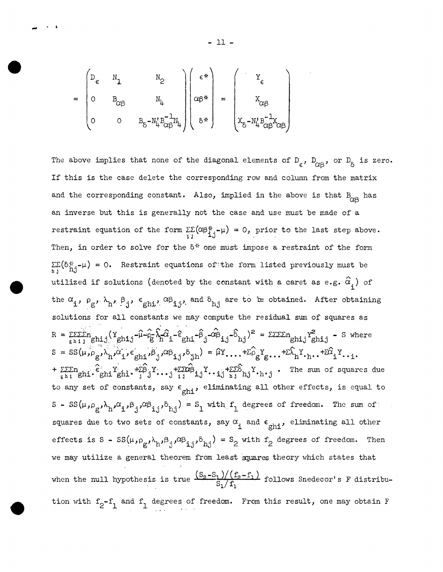$$
= \begin{pmatrix} D_{\epsilon} & N_{1} & N_{2} \\ 0 & B_{\alpha\beta} & N_{\mu} \\ 0 & 0 & B_{\delta} - N_{\mu} B_{\alpha\beta}^{-1} N_{\mu} \end{pmatrix} \begin{pmatrix} \epsilon^{*}\\ \alpha\beta^{*}\\ \alpha\beta^{*}\\ \delta^{*} \end{pmatrix} = \begin{pmatrix} Y_{\epsilon} \\ X_{\alpha\beta} \\ X_{\alpha\beta} \\ X_{\delta} - N_{\mu} B_{\alpha\beta}^{-1} X_{\alpha\beta} \end{pmatrix}
$$

The above implies that none of the diagonal elements of  $D_{\epsilon}$ ,  $D_{\alpha\beta}$ , or  $D_{\delta}$  is zero. If this is the case delete the corresponding row and column from the matrix and the corresponding constant. Also, implied in the above is that  $B_{\alpha\alpha}$  has an inverse but this is generally not the case and use must be made of a restraint equation of the form  $\Sigma\Sigma(\alpha\beta_{1,1}^*-\mu) = 0$ , prior to the last step above. Then, in order to solve for the  $\delta^*$  one must impose a restraint of the form  $\Sigma \Sigma (\delta_{\text{h,i}}^* - \mu) = 0$ . Restraint equations of the form listed previously must be utilized if solutions (denoted by the constant with a caret as e.g.  $\hat{\alpha}_i$ ) of the  $\alpha_i$ ,  $\rho_g$ ,  $\lambda_{h^*}$ ,  $\beta_j$ ,  $\epsilon_{ghi}$ ,  $\alpha\beta_{ij}$ , and  $\delta_{hj}$  are to be obtained. After obtaining solutions for all constants we may compute the residual sum of squares as  $R = \frac{\sum \sum \sum n}{g h i j} (Y_{ghi,j} - \hat{\mu} - \hat{\rho}_g - \hat{\lambda}_n \hat{\alpha}_i - \hat{\epsilon}_{ghi} - \hat{\beta}_j - \hat{\alpha} \hat{\rho}_{i,j} - \hat{\delta}_{hj})^2 = \frac{\sum \sum \sum n}{g h i j} - S$  where  $S = SS(\mu, \rho_g, \lambda_h, \alpha_i, \epsilon_{gh1}, \beta_i, \alpha_{h1}, \delta_{hh}) = \hat{\mu}Y, \dots + \hat{\Sigma \rho_g}Y_g, \dots + \hat{\Sigma \lambda_h}Y, \dots + \hat{\Sigma \alpha_i}Y.$  $+\sum_{\varepsilon} \sum_{h=1}^{\infty} \sum_{g}^{h} Y(gh i \cdot \overline{x}_{g}^{h} j \cdot \overline{x}_{g}^{h}) - \sum_{h=1}^{m} \sum_{h=1}^{\infty} \sum_{h=1}^{m} Y(gh i \cdot \overline{x}_{h}^{h}) \cdot \overline{x}_{h}^{h} j \cdot \overline{x}_{h}^{h} j \cdot \overline{x}_{h}^{h} j \cdot \overline{x}_{h}^{h} j \cdot \overline{x}_{h}^{h} j \cdot \overline{x}_{h}^{h} k \cdot \overline{x}_{h}^{h} k \cdot \overline{x}_{h}^{h} k \cdot \overline{x}_{h}^{$ to any set of constants, say  $\epsilon_{\text{ghi}}$ , eliminating all other effects, is equal to  $S - SS(\mu, \rho_g, \lambda_h, \alpha_i, \beta_j, \alpha \beta_{i,j}, \delta_{h,j}) = S_1$  with  $f_1$  degrees of freedom. The sum of squares due to two sets of constants, say  $\alpha_i$  and  $\epsilon_{ghi}$ , eliminating all other effects is S -  $SS(\mu, \rho_g, \lambda_h, \beta_j, \alpha\beta_{i,j}, \delta_{hj}) = S_2$  with  $f_2$  degrees of freedom. Then we may utilize a general theorem from least squares theory which states that when the null hypothesis is true  $\frac{(S_2-S_1)/(f_2-f_1)}{S_1/f_1}$  follows Snedecor's F distribution with  $f_2-f_1$  and  $f_1$  degrees of freedom. From this result, one may obtain F

 $-11 -$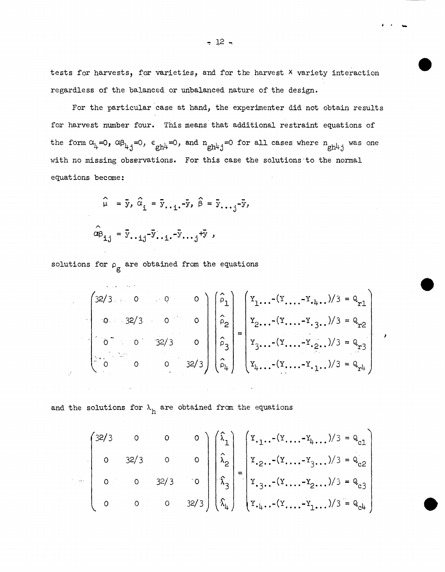tests for harvests, for varieties, and for the harvest X variety interaction regardless of the balanced or unbalanced nature of the design.

For the particular case at hand, the experimenter did not obtain results for harvest number four. This means that additional restraint equations of the form  $\alpha_{\mu}=0$ ,  $\alpha\beta_{\mu,j}=0$ ,  $\epsilon_{gh\mu}=0$ , and  $n_{gh\mu,j}=0$  for all cases where  $n_{gh\mu,j}$  was one with no missing observations. For this case the solutions·to the normal equations become:

$$
\hat{\mu} = \bar{y}, \hat{\alpha}_{i} = \bar{y}_{\cdot \cdot i} - \bar{y}, \hat{\beta} = \bar{y}_{\cdot \cdot j} - \bar{y}_{\cdot \cdot j}
$$

$$
\hat{\alpha} \hat{\beta}_{i,j} = \bar{y}_{\cdot \cdot i,j} - \bar{y}_{\cdot \cdot i} - \bar{y}_{\cdot \cdot j} + \bar{y}_{\cdot \cdot j}
$$

solutions for  $\rho_g$  are obtained from the equations

 $\mathcal{L}^{\text{max}}_{\text{max}}$  and  $\mathcal{L}^{\text{max}}_{\text{max}}$ 

$$
\begin{pmatrix}\n32/3 & 0 & 0 & 0 \\
0 & 32/3 & 0 & 0 \\
\vdots & \vdots & \ddots & \vdots \\
0 & 0 & 0 & 32/3\n\end{pmatrix}\n\begin{pmatrix}\n\hat{\rho}_1 \\
\hat{\rho}_2 \\
\hat{\rho}_3 \\
\hat{\rho}_4\n\end{pmatrix}\n=\n\begin{pmatrix}\nY_1 \dots (Y_1 \dots Y_{\cdot\mu \cdot \cdot})/3 = Q_{r1} \\
Y_2 \dots (Y_1 \dots - Y_{\cdot 3 \cdot \cdot \cdot})/3 = Q_{r2} \\
Y_3 \dots (Y_1 \dots - Y_{\cdot 2 \cdot \cdot \cdot})/3 = Q_{r3} \\
Y_4 \dots (Y_1 \dots - Y_{\cdot 1 \cdot \cdot \cdot})/3 = Q_{r4}\n\end{pmatrix}
$$

 $\mathcal{L}_{\text{max}}$  and  $\mathcal{L}_{\text{max}}$  and  $\mathcal{L}_{\text{max}}$ 

and the solutions for  $\lambda_h$  are obtained from the equations

 $\Delta \phi = 0.0000$  and  $\Delta \phi$ 

$$
\begin{pmatrix}\n32/3 & 0 & 0 & 0 \\
0 & 32/3 & 0 & 0 \\
0 & 0 & 32/3 & 0\n\end{pmatrix}\n\begin{pmatrix}\n\hat{\lambda}_1 \\
\hat{\lambda}_2 \\
\hat{\lambda}_3 \\
\hat{\lambda}_4\n\end{pmatrix} = \begin{pmatrix}\nY_{\cdot 1} \cdot (Y_{\cdot \cdot \cdot} - Y_{\mu \cdot \cdot \cdot})/3 = Q_{c1} \\
Y_{\cdot 2} \cdot (Y_{\cdot \cdot \cdot} - Y_{3} \cdot \cdot \cdot)/3 = Q_{c2} \\
Y_{\cdot 3} \cdot (Y_{\cdot \cdot \cdot} - Y_{2} \cdot \cdot \cdot)/3 = Q_{c3} \\
Y_{\cdot \mu \cdot \cdot} (Y_{\cdot \cdot \cdot} - Y_{1} \cdot \cdot \cdot)/3 = Q_{c4}\n\end{pmatrix}
$$

. . ....

'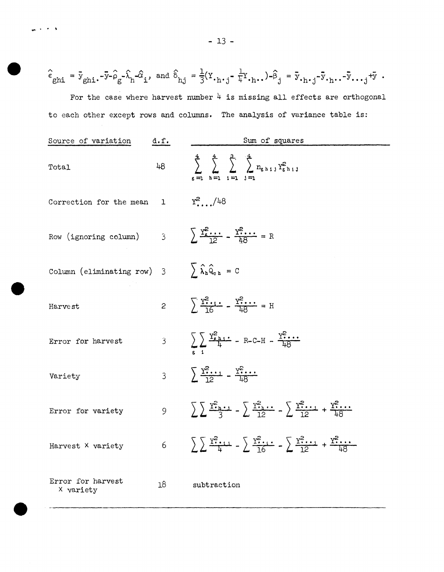$\hat{\epsilon}_{\mathrm{ghi}} = \bar{y}_{\mathrm{ghi}} - \bar{y} - \hat{\rho}_{\mathrm{g}} - \hat{\lambda}_{\mathrm{h}} - \hat{\alpha}_{\mathrm{i}}\,, \text{ and } \hat{\delta}_{\mathrm{hj}} = \frac{1}{3}(Y_{\cdot\mathrm{h}\cdot\mathrm{j}} - \frac{1}{4}Y_{\cdot\mathrm{h}\cdot\mathrm{v}}) - \hat{\beta}_{\mathrm{j}} = \bar{y}_{\cdot\mathrm{h}\cdot\mathrm{j}} - \bar{y}_{\cdot\mathrm{h}\cdot\mathrm{v}} - \bar{y}_{\cdot\mathrm{v}\cdot\mathrm{j}} + \bar{y}\ .$ For the case where harvest number  $4$  is missing all effects are orthogonal to each other except rows and columns. The analysis of variance table is:

| Source of variation                                                                                                                 | d.f.   | Sum of squares                                                                                                      |
|-------------------------------------------------------------------------------------------------------------------------------------|--------|---------------------------------------------------------------------------------------------------------------------|
| Total                                                                                                                               | $48 -$ | $\sum_{\ell=1}^{4} \sum_{\ell=1}^{4} \sum_{\ell=1}^{4} n_{g,h}^{2} N_{g,h}^{2}$<br>$=1$ $h=1$ $i=1$ $j$             |
| Correction for the mean $1 \t Y^2$ , $/48$                                                                                          |        |                                                                                                                     |
| Row (ignoring column) $3 \overline{) \frac{Y_{\epsilon}^2 \cdots Y_{\beta}^2}{12} - \frac{Y_{\beta}^2 \cdots Y_{\beta}^2}{12}} = R$ |        |                                                                                                                     |
| Column (eliminating row) 3 $\qquad \qquad \sum \hat{\lambda}_h \hat{Q}_{c,h} = C$                                                   |        |                                                                                                                     |
| Harvest                                                                                                                             |        | 2 $\sum \frac{Y_i^2}{16} = \frac{Y_i^2 \cdots}{16} = H$                                                             |
| Error for harvest                                                                                                                   |        | 3 $\sum \frac{Y_{r}^{2}}{4} - R - C - H - \frac{Y_{r}^{2}}{48}$                                                     |
| Variety                                                                                                                             |        | 3 $\sum \frac{Y^2 \cdot \cdot \cdot}{12} = \frac{Y^2 \cdot \cdot \cdot}{12}$                                        |
| Error for variety                                                                                                                   |        | 9 $\sqrt{y^2 + 4} = \sqrt{y^2 + 4}$                                                                                 |
| Harvest X variety                                                                                                                   |        | 6 $\sum \frac{Y^2 \cdot 1}{4} - \sum \frac{Y^2 \cdot 1}{16} - \sum \frac{Y^2 \cdot 1}{12} + \frac{Y^2 \cdot 1}{18}$ |
| Error for harvest<br>X variety                                                                                                      | 18     | subtraction                                                                                                         |

 $\sim$